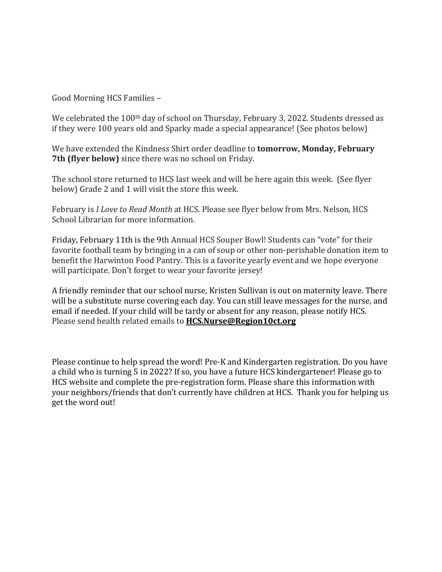Good Morning HCS Families –   

We celebrated the 100<sup>th</sup> day of school on Thursday, February 3, 2022. Students dressed as if they were 100 years old and Sparky made a special appearance! (See photos below)

We have extended the Kindness Shirt order deadline to **tomorrow, Monday, February 7th (flyer below)** since there was no school on Friday.

The school store returned to HCS last week and will be here again this week. (See flyer below) Grade 2 and 1 will visit the store this week.

February is *I Love to Read Month* at HCS. Please see flyer below from Mrs. Nelson, HCS School Librarian for more information.

Friday, February 11th is the 9th Annual HCS Souper Bowl! Students can "vote" for their favorite football team by bringing in a can of soup or other non-perishable donation item to benefit the Harwinton Food Pantry. This is a favorite yearly event and we hope everyone will participate. Don't forget to wear your favorite jersey!

A friendly reminder that our school nurse, Kristen Sullivan is out on maternity leave. There will be a substitute nurse covering each day. You can still leave messages for the nurse, and email if needed. If your child will be tardy or absent for any reason, please notify HCS. Please send health related emails to **[HCS.Nurse@Region10ct.org](mailto:HCS.Nurse@Region10ct.org)**

Please continue to help spread the word! Pre-K and Kindergarten registration. Do you have a child who is turning 5 in 2022? If so, you have a future HCS kindergartener! Please go to HCS website and complete the pre-registration form. Please share this information with your neighbors/friends that don't currently have children at HCS. Thank you for helping us get the word out!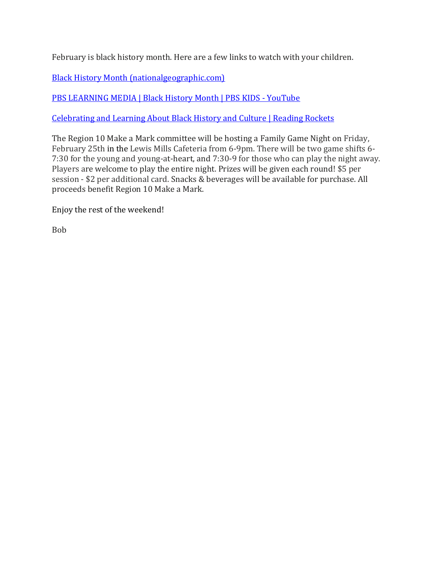February is black history month. Here are a few links to watch with your children.

Black History Month [\(nationalgeographic.com\)](http://track.spe.schoolmessenger.com/f/a/UCdsgbTXsGsi2PaZZ0Ldvg~~/AAAAAQA~/RgRj4OvNP0RHaHR0cHM6Ly9raWRzLm5hdGlvbmFsZ2VvZ3JhcGhpYy5jb20vaGlzdG9yeS9hcnRpY2xlL2JsYWNrLWhpc3RvcnktbW9udGhXB3NjaG9vbG1CCmH5Tbj_YXaL_BtSGWJhbGxlcmluaWFAcmVnaW9uMTBjdC5vcmdYBAAAAAE~)

PBS [LEARNING](http://track.spe.schoolmessenger.com/f/a/p-dy8x4a2ztZ-EpuqxpOXA~~/AAAAAQA~/RgRj4OvNP0QraHR0cHM6Ly93d3cueW91dHViZS5jb20vd2F0Y2g_dj1mMDBBYXR6dnhDMFcHc2Nob29sbUIKYflNuP9hdov8G1IZYmFsbGVyaW5pYUByZWdpb24xMGN0Lm9yZ1gEAAAAAQ~~) MEDIA | Black History Month | PBS KIDS - YouTube

[Celebrating](http://track.spe.schoolmessenger.com/f/a/iqSHo30pf28GnOuCRsLKRQ~~/AAAAAQA~/RgRj4OvNP0Q0aHR0cHM6Ly93d3cucmVhZGluZ3JvY2tldHMub3JnL2NhbGVuZGFyL2JsYWNraGlzdG9yeVcHc2Nob29sbUIKYflNuP9hdov8G1IZYmFsbGVyaW5pYUByZWdpb24xMGN0Lm9yZ1gEAAAAAQ~~) and Learning About Black History and Culture | Reading Rockets

The Region 10 Make a Mark committee will be hosting a Family Game Night on Friday, February 25th in the Lewis Mills Cafeteria from 6-9pm. There will be two game shifts 6- 7:30 for the young and young-at-heart, and 7:30-9 for those who can play the night away. Players are welcome to play the entire night. Prizes will be given each round! \$5 per session - \$2 per additional card. Snacks & beverages will be available for purchase. All proceeds benefit Region 10 Make a Mark.

Enjoy the rest of the weekend!   

Bob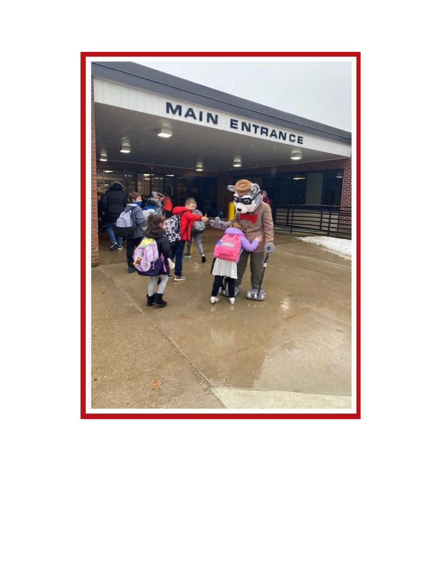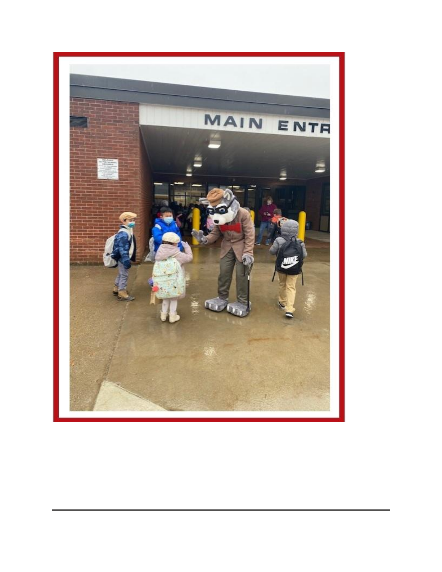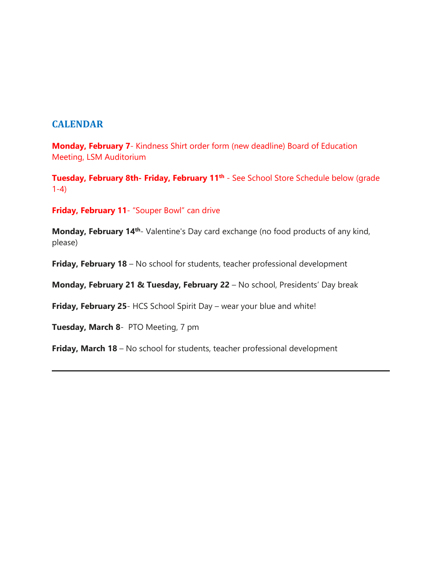## **CALENDAR**

**Monday, February 7**- Kindness Shirt order form (new deadline) Board of Education Meeting, LSM Auditorium

**Tuesday, February 8th- Friday, February 11th** - See School Store Schedule below (grade 1-4)

**Friday, February 11**- "Souper Bowl" can drive

Monday, February 14<sup>th</sup>- Valentine's Day card exchange (no food products of any kind, please)

**Friday, February 18** – No school for students, teacher professional development

**Monday, February 21 & Tuesday, February 22** – No school, Presidents' Day break

**Friday, February 25**- HCS School Spirit Day – wear your blue and white!

**Tuesday, March 8**- PTO Meeting, 7 pm

**Friday, March 18** – No school for students, teacher professional development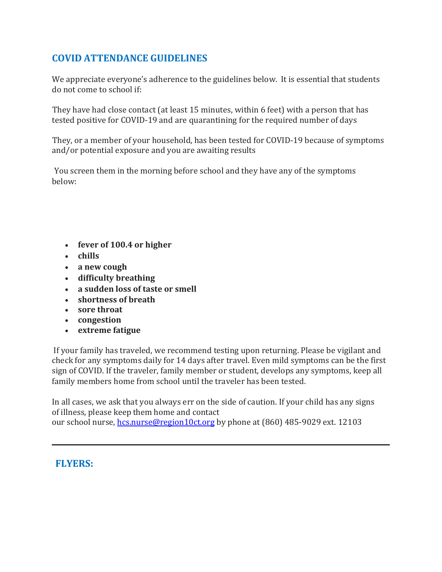## **COVID ATTENDANCE GUIDELINES**

We appreciate everyone's adherence to the guidelines below.  It is essential that students do not come to school if:     

 They have had close contact (at least 15 minutes, within 6 feet) with a person that has tested positive for COVID-19 and are quarantining for the required number of days     

 They, or a member of your household, has been tested for COVID-19 because of symptoms and/or potential exposure and you are awaiting results     

 You screen them in the morning before school and they have any of the symptoms below:      

- **fever of 100.4 or higher**
- **chills**
- **a new cough**
- **difficulty breathing**
- **a sudden loss of taste or smell**
- **shortness of breath**
- **sore throat**
- **congestion**
- **extreme fatigue**

 If your family has traveled, we recommend testing upon returning. Please be vigilant and check for any symptoms daily for 14 days after travel. Even mild symptoms can be the first sign of COVID. If the traveler, family member or student, develops any symptoms, keep all family members home from school until the traveler has been tested.     

In all cases, we ask that you always err on the side of caution. If your child has any signs of illness, please keep them home and contact our school nurse, [hcs.nurse@region10ct.org](mailto:hcs.nurse@region10ct.org) by phone at (860) 485-9029 ext. 12103 

## **FLYERS:**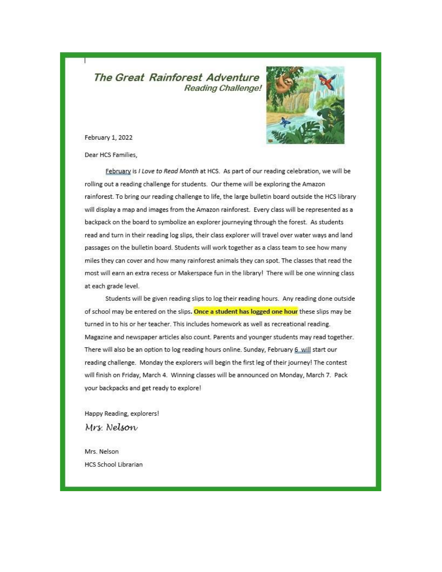The Great Rainforest Adventure **Reading Challenge!** 



February 1, 2022

Dear HCS Families,

February is I Love to Read Month at HCS. As part of our reading celebration, we will be rolling out a reading challenge for students. Our theme will be exploring the Amazon rainforest. To bring our reading challenge to life, the large bulletin board outside the HCS library will display a map and images from the Amazon rainforest. Every class will be represented as a backpack on the board to symbolize an explorer journeying through the forest. As students read and turn in their reading log slips, their class explorer will travel over water ways and land passages on the bulletin board. Students will work together as a class team to see how many miles they can cover and how many rainforest animals they can spot. The classes that read the most will earn an extra recess or Makerspace fun in the library! There will be one winning class at each grade level.

Students will be given reading slips to log their reading hours. Any reading done outside of school may be entered on the slips. Once a student has logged one hour these slips may be turned in to his or her teacher. This includes homework as well as recreational reading. Magazine and newspaper articles also count. Parents and younger students may read together. There will also be an option to log reading hours online. Sunday, February 6 will start our reading challenge. Monday the explorers will begin the first leg of their journey! The contest will finish on Friday, March 4. Winning classes will be announced on Monday, March 7. Pack your backpacks and get ready to explore!

Happy Reading, explorers! Mrs: Nelson

Mrs. Nelson **HCS School Librarian**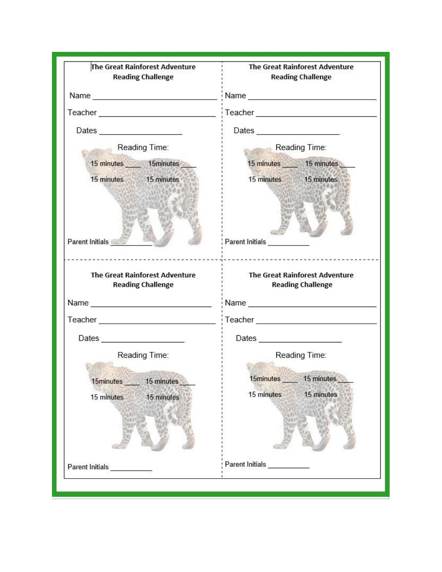| Dates<br>Reading Time:<br>Reading Time:<br>15 minutes 15 minutes<br>15 minutes 15 15 minutes<br>15 minutes 15 minutes<br>15 minutes 15 minutes<br>Parent Initials<br>Parent Initials <b>Parent Initials</b><br>------------------------------<br><b>The Great Rainforest Adventure</b><br>The Great Rainforest Adventure<br><b>Reading Challenge</b><br><b>Reading Challenge</b><br>Name _______________________________<br>Reading Time:<br>Reading Time:<br>15minutes 15 minutes<br>15 minutes 15 minutes<br>15 minutes 15 minutes<br>15 minutes<br>15 minutes | The Great Rainforest Adventure<br><b>Reading Challenge</b> | The Great Rainforest Adventure<br><b>Reading Challenge</b> |
|------------------------------------------------------------------------------------------------------------------------------------------------------------------------------------------------------------------------------------------------------------------------------------------------------------------------------------------------------------------------------------------------------------------------------------------------------------------------------------------------------------------------------------------------------------------|------------------------------------------------------------|------------------------------------------------------------|
|                                                                                                                                                                                                                                                                                                                                                                                                                                                                                                                                                                  |                                                            |                                                            |
|                                                                                                                                                                                                                                                                                                                                                                                                                                                                                                                                                                  |                                                            |                                                            |
|                                                                                                                                                                                                                                                                                                                                                                                                                                                                                                                                                                  |                                                            |                                                            |
|                                                                                                                                                                                                                                                                                                                                                                                                                                                                                                                                                                  |                                                            |                                                            |
|                                                                                                                                                                                                                                                                                                                                                                                                                                                                                                                                                                  |                                                            |                                                            |
|                                                                                                                                                                                                                                                                                                                                                                                                                                                                                                                                                                  |                                                            |                                                            |
|                                                                                                                                                                                                                                                                                                                                                                                                                                                                                                                                                                  |                                                            |                                                            |
|                                                                                                                                                                                                                                                                                                                                                                                                                                                                                                                                                                  |                                                            |                                                            |
|                                                                                                                                                                                                                                                                                                                                                                                                                                                                                                                                                                  |                                                            |                                                            |
| Parent Initials __________<br>Parent Initials __________                                                                                                                                                                                                                                                                                                                                                                                                                                                                                                         |                                                            |                                                            |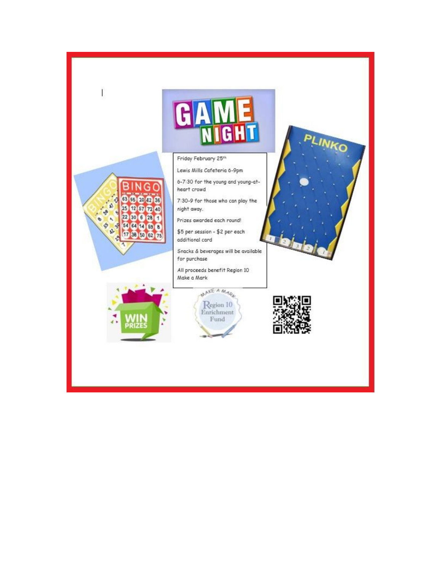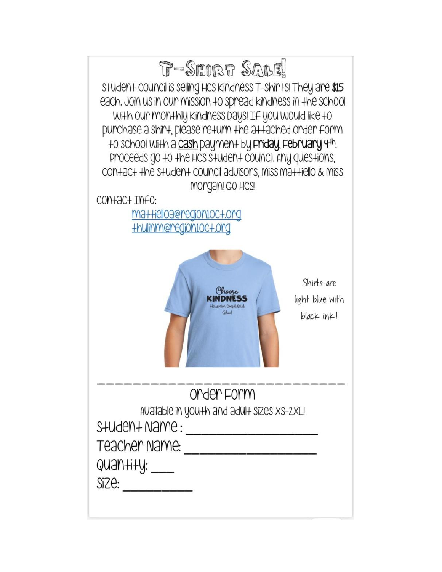